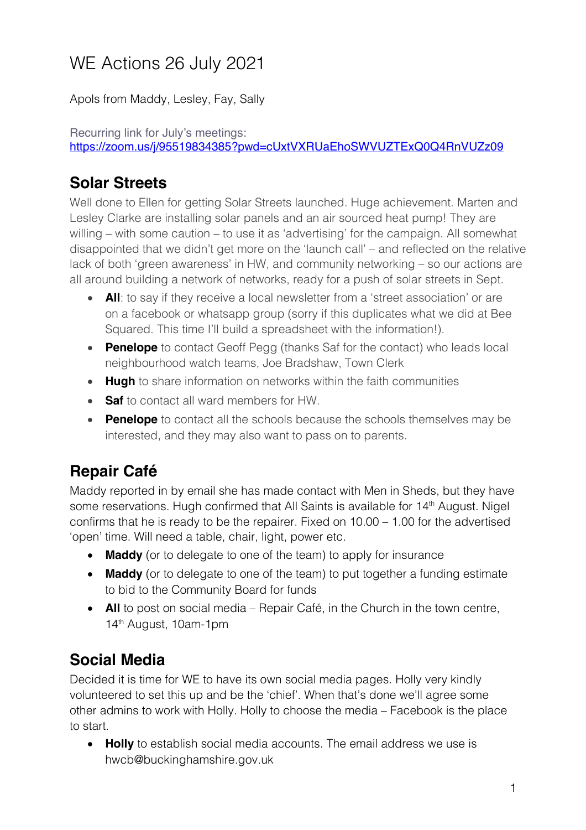# WE Actions 26 July 2021

Apols from Maddy, Lesley, Fay, Sally

Recurring link for July's meetings: https://zoom.us/j/95519834385?pwd=cUxtVXRUaEhoSWVUZTExQ0Q4RnVUZz09

## **Solar Streets**

Well done to Ellen for getting Solar Streets launched. Huge achievement. Marten and Lesley Clarke are installing solar panels and an air sourced heat pump! They are willing – with some caution – to use it as 'advertising' for the campaign. All somewhat disappointed that we didn't get more on the 'launch call' – and reflected on the relative lack of both 'green awareness' in HW, and community networking – so our actions are all around building a network of networks, ready for a push of solar streets in Sept.

- **All**: to say if they receive a local newsletter from a 'street association' or are on a facebook or whatsapp group (sorry if this duplicates what we did at Bee Squared. This time I'll build a spreadsheet with the information!).
- **Penelope** to contact Geoff Pegg (thanks Saf for the contact) who leads local neighbourhood watch teams, Joe Bradshaw, Town Clerk
- **Hugh** to share information on networks within the faith communities
- **Saf** to contact all ward members for HW.
- **Penelope** to contact all the schools because the schools themselves may be interested, and they may also want to pass on to parents.

# **Repair Café**

Maddy reported in by email she has made contact with Men in Sheds, but they have some reservations. Hugh confirmed that All Saints is available for 14<sup>th</sup> August. Nigel confirms that he is ready to be the repairer. Fixed on 10.00 – 1.00 for the advertised 'open' time. Will need a table, chair, light, power etc.

- **Maddy** (or to delegate to one of the team) to apply for insurance
- **Maddy** (or to delegate to one of the team) to put together a funding estimate to bid to the Community Board for funds
- **All** to post on social media Repair Café, in the Church in the town centre, 14th August, 10am-1pm

## **Social Media**

Decided it is time for WE to have its own social media pages. Holly very kindly volunteered to set this up and be the 'chief'. When that's done we'll agree some other admins to work with Holly. Holly to choose the media – Facebook is the place to start.

• **Holly** to establish social media accounts. The email address we use is hwcb@buckinghamshire.gov.uk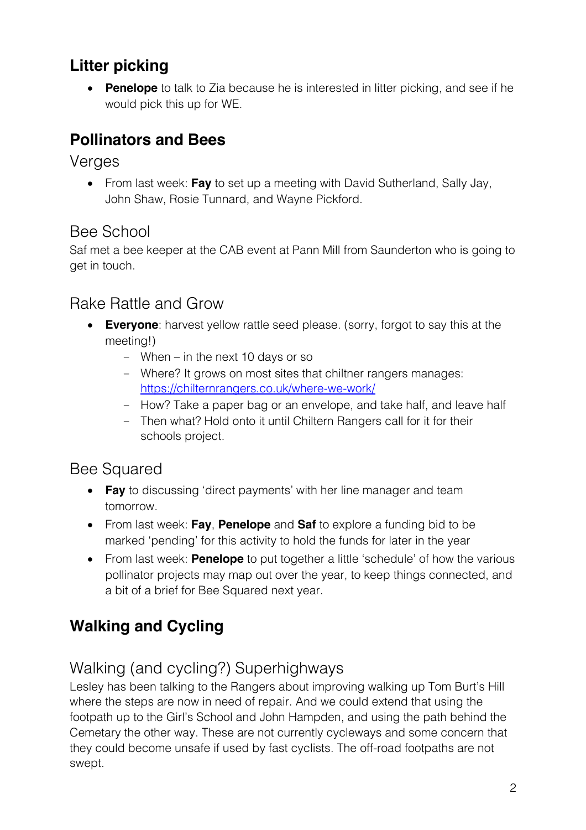# **Litter picking**

• **Penelope** to talk to Zia because he is interested in litter picking, and see if he would pick this up for WE.

## **Pollinators and Bees**

Verges

• From last week: **Fay** to set up a meeting with David Sutherland, Sally Jay, John Shaw, Rosie Tunnard, and Wayne Pickford.

## Bee School

Saf met a bee keeper at the CAB event at Pann Mill from Saunderton who is going to get in touch.

#### Rake Rattle and Grow

- **Everyone**: harvest yellow rattle seed please. (sorry, forgot to say this at the meeting!)
	- When in the next 10 days or so
	- Where? It grows on most sites that chiltner rangers manages: https://chilternrangers.co.uk/where-we-work/
	- How? Take a paper bag or an envelope, and take half, and leave half
	- Then what? Hold onto it until Chiltern Rangers call for it for their schools project.

#### Bee Squared

- **Fay** to discussing 'direct payments' with her line manager and team tomorrow.
- From last week: **Fay**, **Penelope** and **Saf** to explore a funding bid to be marked 'pending' for this activity to hold the funds for later in the year
- From last week: **Penelope** to put together a little 'schedule' of how the various pollinator projects may map out over the year, to keep things connected, and a bit of a brief for Bee Squared next year.

# **Walking and Cycling**

## Walking (and cycling?) Superhighways

Lesley has been talking to the Rangers about improving walking up Tom Burt's Hill where the steps are now in need of repair. And we could extend that using the footpath up to the Girl's School and John Hampden, and using the path behind the Cemetary the other way. These are not currently cycleways and some concern that they could become unsafe if used by fast cyclists. The off-road footpaths are not swept.